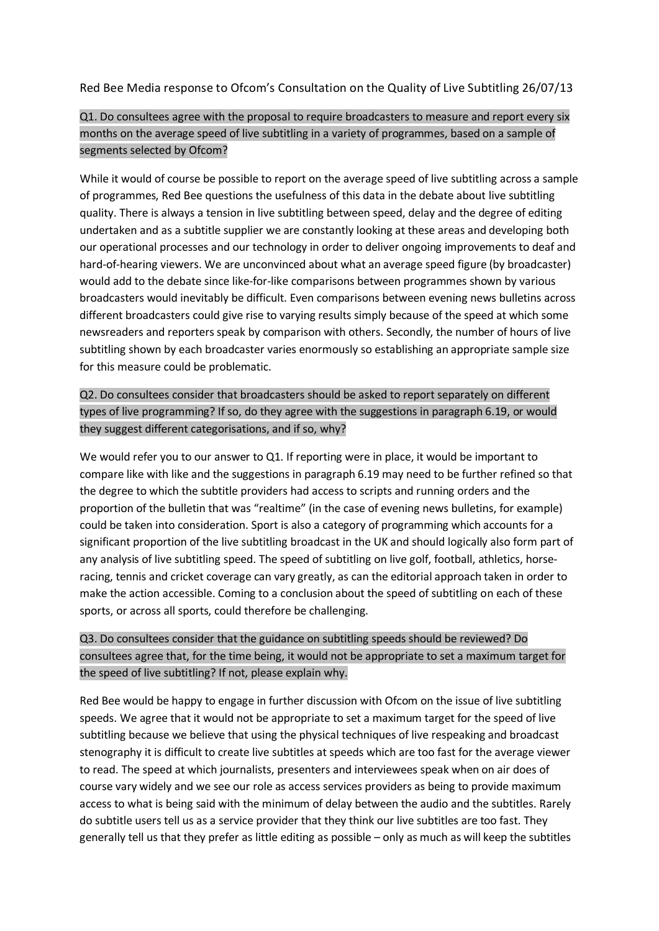Red Bee Media response to Ofcom's Consultation on the Quality of Live Subtitling 26/07/13

### Q1. Do consultees agree with the proposal to require broadcasters to measure and report every six months on the average speed of live subtitling in a variety of programmes, based on a sample of segments selected by Ofcom?

While it would of course be possible to report on the average speed of live subtitling across a sample of programmes, Red Bee questions the usefulness of this data in the debate about live subtitling quality. There is always a tension in live subtitling between speed, delay and the degree of editing undertaken and as a subtitle supplier we are constantly looking at these areas and developing both our operational processes and our technology in order to deliver ongoing improvements to deaf and hard-of-hearing viewers. We are unconvinced about what an average speed figure (by broadcaster) would add to the debate since like-for-like comparisons between programmes shown by various broadcasters would inevitably be difficult. Even comparisons between evening news bulletins across different broadcasters could give rise to varying results simply because of the speed at which some newsreaders and reporters speak by comparison with others. Secondly, the number of hours of live subtitling shown by each broadcaster varies enormously so establishing an appropriate sample size for this measure could be problematic.

## Q2. Do consultees consider that broadcasters should be asked to report separately on different types of live programming? If so, do they agree with the suggestions in paragraph 6.19, or would they suggest different categorisations, and if so, why?

We would refer you to our answer to Q1. If reporting were in place, it would be important to compare like with like and the suggestions in paragraph 6.19 may need to be further refined so that the degree to which the subtitle providers had access to scripts and running orders and the proportion of the bulletin that was "realtime" (in the case of evening news bulletins, for example) could be taken into consideration. Sport is also a category of programming which accounts for a significant proportion of the live subtitling broadcast in the UK and should logically also form part of any analysis of live subtitling speed. The speed of subtitling on live golf, football, athletics, horseracing, tennis and cricket coverage can vary greatly, as can the editorial approach taken in order to make the action accessible. Coming to a conclusion about the speed of subtitling on each of these sports, or across all sports, could therefore be challenging.

# Q3. Do consultees consider that the guidance on subtitling speeds should be reviewed? Do consultees agree that, for the time being, it would not be appropriate to set a maximum target for the speed of live subtitling? If not, please explain why.

Red Bee would be happy to engage in further discussion with Ofcom on the issue of live subtitling speeds. We agree that it would not be appropriate to set a maximum target for the speed of live subtitling because we believe that using the physical techniques of live respeaking and broadcast stenography it is difficult to create live subtitles at speeds which are too fast for the average viewer to read. The speed at which journalists, presenters and interviewees speak when on air does of course vary widely and we see our role as access services providers as being to provide maximum access to what is being said with the minimum of delay between the audio and the subtitles. Rarely do subtitle users tell us as a service provider that they think our live subtitles are too fast. They generally tell us that they prefer as little editing as possible – only as much as will keep the subtitles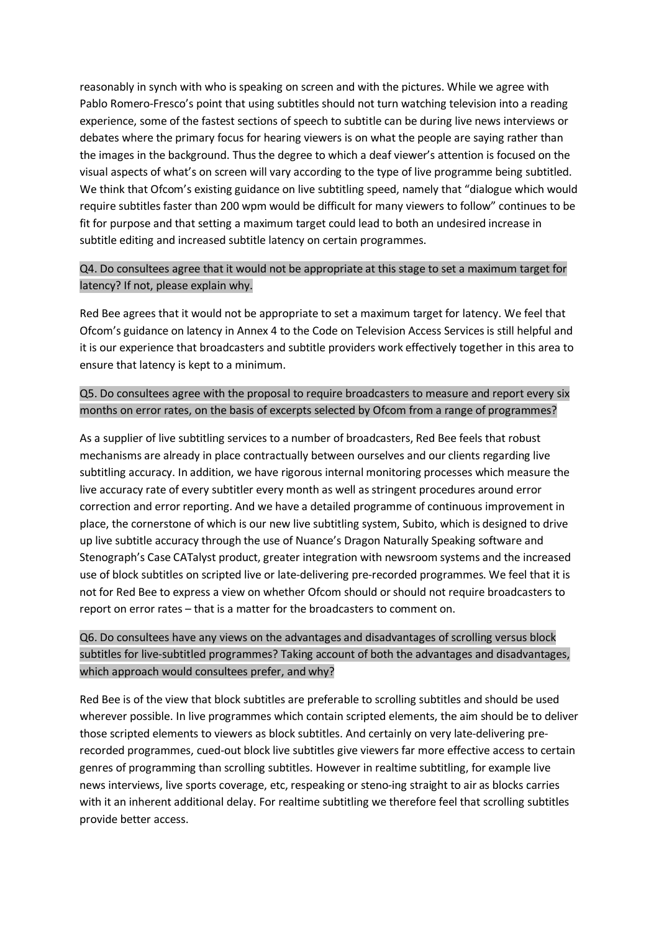reasonably in synch with who is speaking on screen and with the pictures. While we agree with Pablo Romero-Fresco's point that using subtitles should not turn watching television into a reading experience, some of the fastest sections of speech to subtitle can be during live news interviews or debates where the primary focus for hearing viewers is on what the people are saying rather than the images in the background. Thus the degree to which a deaf viewer's attention is focused on the visual aspects of what's on screen will vary according to the type of live programme being subtitled. We think that Ofcom's existing guidance on live subtitling speed, namely that "dialogue which would require subtitles faster than 200 wpm would be difficult for many viewers to follow" continues to be fit for purpose and that setting a maximum target could lead to both an undesired increase in subtitle editing and increased subtitle latency on certain programmes.

### Q4. Do consultees agree that it would not be appropriate at this stage to set a maximum target for latency? If not, please explain why.

Red Bee agrees that it would not be appropriate to set a maximum target for latency. We feel that Ofcom's guidance on latency in Annex 4 to the Code on Television Access Services is still helpful and it is our experience that broadcasters and subtitle providers work effectively together in this area to ensure that latency is kept to a minimum.

#### Q5. Do consultees agree with the proposal to require broadcasters to measure and report every six months on error rates, on the basis of excerpts selected by Ofcom from a range of programmes?

As a supplier of live subtitling services to a number of broadcasters, Red Bee feels that robust mechanisms are already in place contractually between ourselves and our clients regarding live subtitling accuracy. In addition, we have rigorous internal monitoring processes which measure the live accuracy rate of every subtitler every month as well as stringent procedures around error correction and error reporting. And we have a detailed programme of continuous improvement in place, the cornerstone of which is our new live subtitling system, Subito, which is designed to drive up live subtitle accuracy through the use of Nuance's Dragon Naturally Speaking software and Stenograph's Case CATalyst product, greater integration with newsroom systems and the increased use of block subtitles on scripted live or late-delivering pre-recorded programmes. We feel that it is not for Red Bee to express a view on whether Ofcom should or should not require broadcasters to report on error rates – that is a matter for the broadcasters to comment on.

## Q6. Do consultees have any views on the advantages and disadvantages of scrolling versus block subtitles for live-subtitled programmes? Taking account of both the advantages and disadvantages, which approach would consultees prefer, and why?

Red Bee is of the view that block subtitles are preferable to scrolling subtitles and should be used wherever possible. In live programmes which contain scripted elements, the aim should be to deliver those scripted elements to viewers as block subtitles. And certainly on very late-delivering prerecorded programmes, cued-out block live subtitles give viewers far more effective access to certain genres of programming than scrolling subtitles. However in realtime subtitling, for example live news interviews, live sports coverage, etc, respeaking or steno-ing straight to air as blocks carries with it an inherent additional delay. For realtime subtitling we therefore feel that scrolling subtitles provide better access.